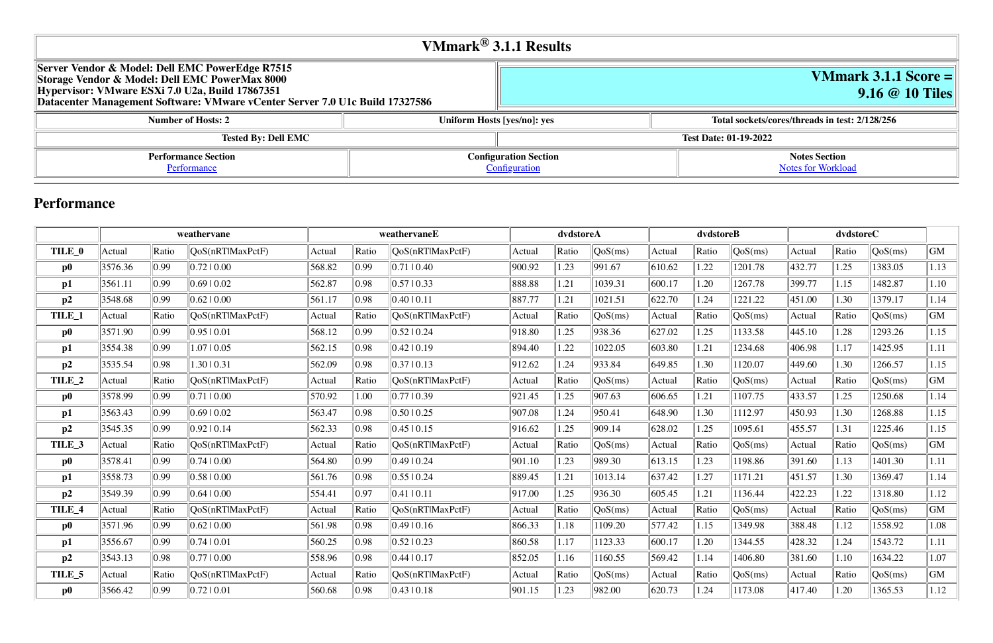|                                                                                                   | VMmark $^{\circledR}$ 3.1.1 Results |
|---------------------------------------------------------------------------------------------------|-------------------------------------|
| Server Vendor & Model: Dell EMC PowerEdge R7515<br>Storage Vendor & Model: Dell EMC PowerMax 8000 |                                     |

| Storage Vendor & Model: Dell EMC PowerMax 8000<br>Hypervisor: VMware ESXi 7.0 U2a, Build 17867351<br>Datacenter Management Software: VMware vCenter Server 7.0 U1c Build 17327586 |                             |                              |                              |
|-----------------------------------------------------------------------------------------------------------------------------------------------------------------------------------|-----------------------------|------------------------------|------------------------------|
| <b>Number of Hosts: 2</b>                                                                                                                                                         | Uniform Hosts [yes/no]: yes | Total sockets/c              |                              |
| <b>Tested By: Dell EMC</b>                                                                                                                                                        |                             |                              | <b>Test Date: 01-19-2022</b> |
| <b>Performance Section</b>                                                                                                                                                        |                             | <b>Configuration Section</b> |                              |
| Performance                                                                                                                                                                       | Configuration               |                              |                              |

# **VMmark 3.1.1 Score = 9.16 @ 10 Tiles**

#### **Number of Augusts: 2/128/256**

#### **Notes Section** [Notes for Workload](file:///Users/griderr/Documents/ReviewPanel/0405/other-updated-disclosures/2022-02-08-DellEMC-PowerEdge-R7515.html#NotesForWorkload)

## **Performance**

|                   | weathervane |                | weathervaneE     |        | dvdstoreA |                    |        | dvdstoreB |         |        | dvdstoreC |         |        |       |         |                    |
|-------------------|-------------|----------------|------------------|--------|-----------|--------------------|--------|-----------|---------|--------|-----------|---------|--------|-------|---------|--------------------|
| TILE_0            | Actual      | Ratio          | OoS(nRTlMaxPctF) | Actual | Ratio     | QoS(nRTIMaxPctF)   | Actual | Ratio     | QoS(ms) | Actual | Ratio     | QoS(ms) | Actual | Ratio | QoS(ms) | GM                 |
| $\bf p0$          | 3576.36     | 0.99           | 0.7210.00        | 568.82 | 0.99      | 0.71 0.40          | 900.92 | 1.23      | 991.67  | 610.62 | 1.22      | 1201.78 | 432.77 | 1.25  | 1383.05 | 1.13               |
| p1                | 3561.11     | 0.99           | 0.6910.02        | 562.87 | 0.98      | 0.57 0.33          | 888.88 | 1.21      | 1039.31 | 600.17 | 1.20      | 1267.78 | 399.77 | 1.15  | 1482.87 | 1.10               |
| p2                | 3548.68     | 0.99           | $0.62 \mid 0.00$ | 561.17 | 0.98      | 0.40 0.11          | 887.77 | 1.21      | 1021.51 | 622.70 | 1.24      | 1221.22 | 451.00 | 1.30  | 1379.17 | 1.14               |
| TILE_1            | Actual      | Ratio          | QoS(nRTlMaxPctF) | Actual | Ratio     | QoS(nRTlMaxPctF)   | Actual | Ratio     | QoS(ms) | Actual | Ratio     | QoS(ms) | Actual | Ratio | QoS(ms) | $\vert$ GM $\vert$ |
| $\bf p0$          | 3571.90     | 0.99           | 0.9510.01        | 568.12 | 0.99      | $0.52 \times 0.24$ | 918.80 | 1.25      | 938.36  | 627.02 | 1.25      | 1133.58 | 445.10 | 1.28  | 1293.26 | 1.15               |
| p1                | 3554.38     | 0.99           | 1.0710.05        | 562.15 | 0.98      | $0.42 \times 0.19$ | 894.40 | 1.22      | 1022.05 | 603.80 | 1.21      | 1234.68 | 406.98 | 1.17  | 1425.95 | 1.11               |
| p2                | 3535.54     | 0.98           | 1.30   0.31      | 562.09 | 0.98      | 0.3710.13          | 912.62 | 1.24      | 933.84  | 649.85 | 1.30      | 1120.07 | 449.60 | 1.30  | 1266.57 | 1.15               |
| TILE <sub>2</sub> | Actual      | Ratio          | QoS(nRTlMaxPctF) | Actual | Ratio     | QoS(nRT MaxPctF)   | Actual | Ratio     | QoS(ms) | Actual | Ratio     | QoS(ms) | Actual | Ratio | QoS(ms) | GM                 |
| $\bf p0$          | 3578.99     | 0.99           | 0.7110.00        | 570.92 | 1.00      | 0.7710.39          | 921.45 | 1.25      | 907.63  | 606.65 | 1.21      | 1107.75 | 433.57 | 1.25  | 1250.68 | 1.14               |
| p1                | 3563.43     | 0.99           | 0.6910.02        | 563.47 | 0.98      | 0.5010.25          | 907.08 | 1.24      | 950.41  | 648.90 | 1.30      | 1112.97 | 450.93 | 1.30  | 1268.88 | 1.15               |
| p2                | 3545.35     | 0.99           | 0.9210.14        | 562.33 | 0.98      | 0.45 10.15         | 916.62 | 1.25      | 909.14  | 628.02 | 1.25      | 1095.61 | 455.57 | 1.31  | 1225.46 | 1.15               |
| TILE_3            | Actual      | Ratio          | QoS(nRTlMaxPctF) | Actual | Ratio     | QoS(nRT MaxPctF)   | Actual | Ratio     | QoS(ms) | Actual | Ratio     | QoS(ms) | Actual | Ratio | QoS(ms) | GM                 |
| $\bf p0$          | 3578.41     | 0.99           | 0.7410.00        | 564.80 | 0.99      | 0.4910.24          | 901.10 | 1.23      | 989.30  | 613.15 | 1.23      | 1198.86 | 391.60 | 1.13  | 1401.30 | 1.11               |
| $\mathbf{p1}$     | 3558.73     | 0.99           | 0.5810.00        | 561.76 | 0.98      | 0.5510.24          | 889.45 | 1.21      | 1013.14 | 637.42 | 1.27      | 1171.21 | 451.57 | 1.30  | 1369.47 | 1.14               |
| p2                | 3549.39     | 0.99           | 0.6410.00        | 554.41 | 0.97      | 0.41  0.11         | 917.00 | 1.25      | 936.30  | 605.45 | 1.21      | 1136.44 | 422.23 | 1.22  | 1318.80 | 1.12               |
| TILE_4            | Actual      | Ratio          | QoS(nRTlMaxPctF) | Actual | Ratio     | QoS(nRTlMaxPctF)   | Actual | Ratio     | QoS(ms) | Actual | Ratio     | QoS(ms) | Actual | Ratio | QoS(ms) | GM                 |
| $\bf p0$          | 3571.96     | $ 0.99\rangle$ | $0.62 \mid 0.00$ | 561.98 | 0.98      | 0.4910.16          | 866.33 | 1.18      | 1109.20 | 577.42 | 1.15      | 1349.98 | 388.48 | 1.12  | 1558.92 | 1.08               |
| p1                | 3556.67     | 0.99           | 0.7410.01        | 560.25 | 0.98      | 0.52 0.23          | 860.58 | 1.17      | 1123.33 | 600.17 | 1.20      | 1344.55 | 428.32 | 1.24  | 1543.72 | 1.11               |
| p2                | 3543.13     | 0.98           | 0.7710.00        | 558.96 | 0.98      | 0.44 10.17         | 852.05 | 1.16      | 1160.55 | 569.42 | 1.14      | 1406.80 | 381.60 | 1.10  | 1634.22 | 1.07               |
| TILE_5            | Actual      | Ratio          | QoS(nRTlMaxPctF) | Actual | Ratio     | QoS(nRTlMaxPctF)   | Actual | Ratio     | QoS(ms) | Actual | Ratio     | QoS(ms) | Actual | Ratio | QoS(ms) | GM                 |
| $\bf p0$          | 3566.42     | 0.99           | 0.7210.01        | 560.68 | 0.98      | 0.43 10.18         | 901.15 | 1.23      | 982.00  | 620.73 | 1.24      | 1173.08 | 417.40 | 1.20  | 1365.53 | 1.12               |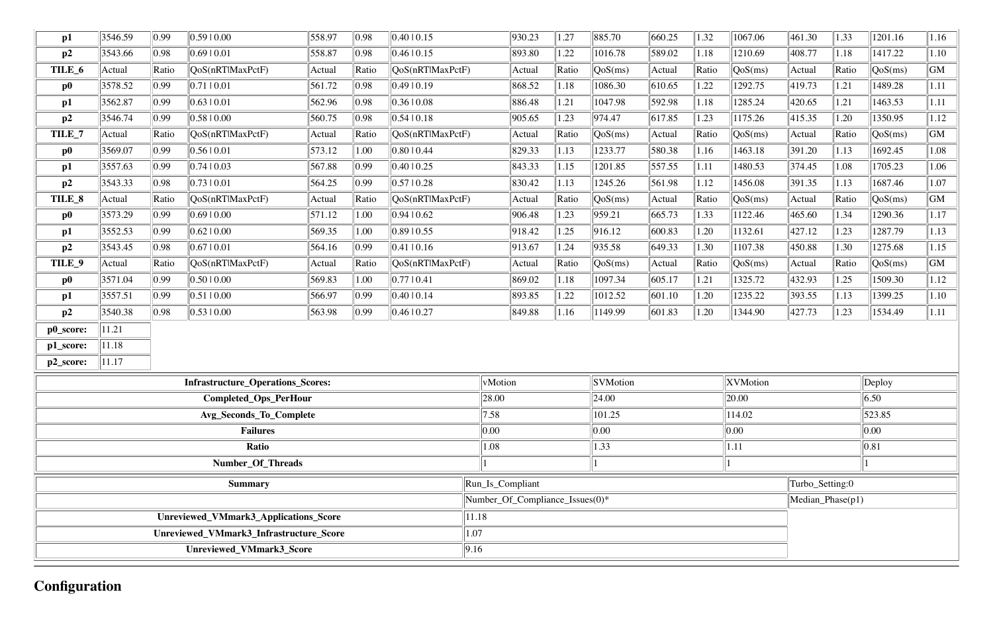| p1            | 3546.59 | 0.99           | 0.59 0.00                               | 558.97 | 0.98           | 0.4010.15        |                                 | 930.23 | 1.27  | 885.70          | 660.25 | 1.32  | 1067.06          | 461.30          | 1.33  | 1201.16 | 1.16 |
|---------------|---------|----------------|-----------------------------------------|--------|----------------|------------------|---------------------------------|--------|-------|-----------------|--------|-------|------------------|-----------------|-------|---------|------|
| p2            | 3543.66 | 0.98           | 0.6910.01                               | 558.87 | 0.98           | 0.4610.15        |                                 | 893.80 | 1.22  | 1016.78         | 589.02 | 1.18  | 1210.69          | 408.77          | 1.18  | 1417.22 | 1.10 |
| TILE_6        | Actual  | Ratio          | QoS(nRTlMaxPctF)                        | Actual | Ratio          | QoS(nRTlMaxPctF) |                                 | Actual | Ratio | QoS(ms)         | Actual | Ratio | QoS(ms)          | Actual          | Ratio | QoS(ms) | GM   |
| $\bf p0$      | 3578.52 | 0.99           | 0.71 0.01                               | 561.72 | 0.98           | 0.49 0.19        |                                 | 868.52 | 1.18  | 1086.30         | 610.65 | 1.22  | 1292.75          | 419.73          | 1.21  | 1489.28 | 1.11 |
| $\mathbf{p1}$ | 3562.87 | 0.99           | $0.63 \pm 0.01$                         | 562.96 | 0.98           | 0.36 0.08        |                                 | 886.48 | 1.21  | 1047.98         | 592.98 | 1.18  | 1285.24          | 420.65          | 1.21  | 1463.53 | 1.11 |
| p2            | 3546.74 | 0.99           | 0.5810.00                               | 560.75 | 0.98           | 0.54 0.18        |                                 | 905.65 | 1.23  | 974.47          | 617.85 | 1.23  | 1175.26          | 415.35          | 1.20  | 1350.95 | 1.12 |
| TILE_7        | Actual  | Ratio          | QoS(nRTlMaxPctF)                        | Actual | Ratio          | QoS(nRTlMaxPctF) |                                 | Actual | Ratio | QoS(ms)         | Actual | Ratio | QoS(ms)          | Actual          | Ratio | QoS(ms) | GM   |
| $\bf p0$      | 3569.07 | 0.99           | 0.5610.01                               | 573.12 | 1.00           | 0.8010.44        |                                 | 829.33 | 1.13  | 1233.77         | 580.38 | 1.16  | 1463.18          | 391.20          | 1.13  | 1692.45 | 1.08 |
| p1            | 3557.63 | 0.99           | 0.74 10.03                              | 567.88 | 0.99           | 0.4010.25        |                                 | 843.33 | 1.15  | 1201.85         | 557.55 | 1.11  | 1480.53          | 374.45          | 1.08  | 1705.23 | 1.06 |
| p2            | 3543.33 | 0.98           | 0.73 0.01                               | 564.25 | 0.99           | 0.57 0.28        |                                 | 830.42 | 1.13  | 1245.26         | 561.98 | 1.12  | 1456.08          | 391.35          | 1.13  | 1687.46 | 1.07 |
| TILE_8        | Actual  | Ratio          | QoS(nRTlMaxPctF)                        | Actual | Ratio          | QoS(nRTlMaxPctF) |                                 | Actual | Ratio | QoS(ms)         | Actual | Ratio | QoS(ms)          | Actual          | Ratio | QoS(ms) | GM   |
| $\bf p0$      | 3573.29 | $ 0.99\rangle$ | 0.6910.00                               | 571.12 | 1.00           | 0.94 0.62        |                                 | 906.48 | 1.23  | 959.21          | 665.73 | 1.33  | 1122.46          | 465.60          | 1.34  | 1290.36 | 1.17 |
| p1            | 3552.53 | 0.99           | 0.62 0.00                               | 569.35 | 1.00           | 0.89 0.55        |                                 | 918.42 | 1.25  | 916.12          | 600.83 | 1.20  | 1132.61          | 427.12          | 1.23  | 1287.79 | 1.13 |
| p2            | 3543.45 | 0.98           | 0.67 0.01                               | 564.16 | 0.99           | 0.41  0.16       |                                 | 913.67 | 1.24  | 935.58          | 649.33 | 1.30  | 1107.38          | 450.88          | 1.30  | 1275.68 | 1.15 |
| TILE_9        | Actual  | Ratio          | QoS(nRTlMaxPctF)                        | Actual | Ratio          | QoS(nRT MaxPctF) |                                 | Actual | Ratio | QoS(ms)         | Actual | Ratio | QoS(ms)          | Actual          | Ratio | QoS(ms) | GM   |
| $\bf p0$      | 3571.04 | 0.99           | 0.50 0.00                               | 569.83 | 1.00           | 0.77 0.41        |                                 | 869.02 | 1.18  | 1097.34         | 605.17 | 1.21  | 1325.72          | 432.93          | 1.25  | 1509.30 | 1.12 |
| p1            | 3557.51 | 0.99           | 0.51 0.00                               | 566.97 | 0.99           | 0.4010.14        |                                 | 893.85 | 1.22  | 1012.52         | 601.10 | 1.20  | 1235.22          | 393.55          | 1.13  | 1399.25 | 1.10 |
| p2            | 3540.38 | 0.98           | 0.5310.00                               | 563.98 | $ 0.99\rangle$ | 0.46 0.27        |                                 | 849.88 | 1.16  | 1149.99         | 601.83 | 1.20  | 1344.90          | 427.73          | 1.23  | 1534.49 | 1.11 |
| p0_score:     | 11.21   |                |                                         |        |                |                  |                                 |        |       |                 |        |       |                  |                 |       |         |      |
| p1_score:     | 11.18   |                |                                         |        |                |                  |                                 |        |       |                 |        |       |                  |                 |       |         |      |
| p2_score:     | 11.17   |                |                                         |        |                |                  |                                 |        |       |                 |        |       |                  |                 |       |         |      |
|               |         |                | Infrastructure_Operations_Scores:       |        |                |                  | vMotion                         |        |       | <b>SVMotion</b> |        |       | XVMotion         |                 |       | Deploy  |      |
|               |         |                | Completed_Ops_PerHour                   |        |                |                  | 28.00<br>24.00<br> 20.00        |        |       |                 |        | 6.50  |                  |                 |       |         |      |
|               |         |                | Avg_Seconds_To_Complete                 |        |                |                  | 7.58                            |        |       | 101.25          |        |       | 114.02           |                 |       | 523.85  |      |
|               |         |                | <b>Failures</b>                         |        |                |                  | 0.00                            |        |       | 0.00            |        |       | 0.00             |                 |       | 0.00    |      |
|               |         |                | Ratio                                   |        |                |                  | 1.08                            |        |       | 1.33            |        |       | 1.11             |                 |       | 0.81    |      |
|               |         |                | Number_Of_Threads                       |        |                |                  |                                 |        |       |                 |        |       |                  |                 |       |         |      |
|               |         |                | <b>Summary</b>                          |        |                |                  | Run_Is_Compliant                |        |       |                 |        |       |                  | Turbo_Setting:0 |       |         |      |
|               |         |                |                                         |        |                |                  | Number_Of_Compliance_Issues(0)* |        |       |                 |        |       | Median_Phase(p1) |                 |       |         |      |
|               |         |                | Unreviewed_VMmark3_Applications_Score   |        |                |                  | 11.18                           |        |       |                 |        |       |                  |                 |       |         |      |
|               |         |                | Unreviewed_VMmark3_Infrastructure_Score |        |                | 1.07             |                                 |        |       |                 |        |       |                  |                 |       |         |      |
|               |         |                | Unreviewed_VMmark3_Score                |        |                | 9.16             |                                 |        |       |                 |        |       |                  |                 |       |         |      |
|               |         |                |                                         |        |                |                  |                                 |        |       |                 |        |       |                  |                 |       |         |      |

# **Configuration**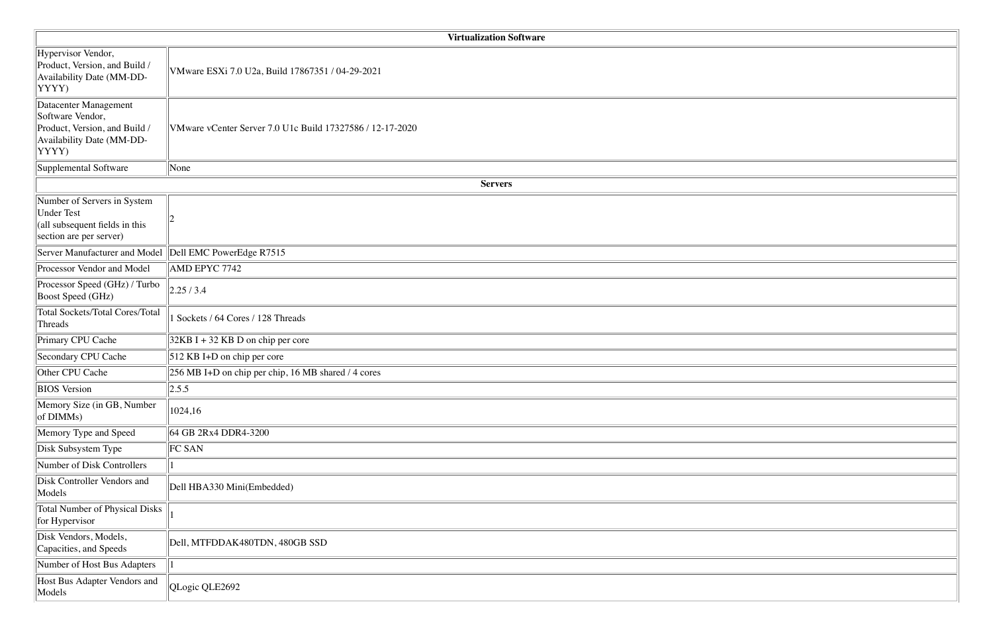|                                                                                                                  | <b>Virtualization Software</b>                            |
|------------------------------------------------------------------------------------------------------------------|-----------------------------------------------------------|
| Hypervisor Vendor,<br>Product, Version, and Build /<br>Availability Date (MM-DD-<br>YYYY)                        | VMware ESXi 7.0 U2a, Build 17867351 / 04-29-2021          |
| Datacenter Management<br>Software Vendor,<br>Product, Version, and Build /<br>Availability Date (MM-DD-<br>YYYY) | VMware vCenter Server 7.0 U1c Build 17327586 / 12-17-2020 |
| Supplemental Software                                                                                            | None                                                      |
|                                                                                                                  | <b>Servers</b>                                            |
| Number of Servers in System<br><b>Under Test</b><br>(all subsequent fields in this<br>section are per server)    |                                                           |
| Server Manufacturer and Model                                                                                    | $\Delta$ Dell EMC PowerEdge R7515                         |
| Processor Vendor and Model                                                                                       | AMD EPYC 7742                                             |
| Processor Speed (GHz) / Turbo<br>Boost Speed (GHz)                                                               | 2.25/3.4                                                  |
| <b>Total Sockets/Total Cores/Total</b><br>Threads                                                                | 1 Sockets / 64 Cores / 128 Threads                        |
| Primary CPU Cache                                                                                                | $32KB I + 32 KB D$ on chip per core                       |
| Secondary CPU Cache                                                                                              | 512 KB I+D on chip per core                               |
| Other CPU Cache                                                                                                  | 256 MB I+D on chip per chip, 16 MB shared / 4 cores       |
| <b>BIOS</b> Version                                                                                              | 2.5.5                                                     |
| Memory Size (in GB, Number<br>of DIMMs)                                                                          | 1024,16                                                   |
| Memory Type and Speed                                                                                            | 64 GB 2Rx4 DDR4-3200                                      |
| Disk Subsystem Type                                                                                              | <b>FC SAN</b>                                             |
| Number of Disk Controllers                                                                                       |                                                           |
| Disk Controller Vendors and<br>Models                                                                            | Dell HBA330 Mini(Embedded)                                |
| <b>Total Number of Physical Disks</b><br>for Hypervisor                                                          |                                                           |
| Disk Vendors, Models,<br>Capacities, and Speeds                                                                  | Dell, MTFDDAK480TDN, 480GB SSD                            |
| Number of Host Bus Adapters                                                                                      |                                                           |
| Host Bus Adapter Vendors and<br>Models                                                                           | QLogic QLE2692                                            |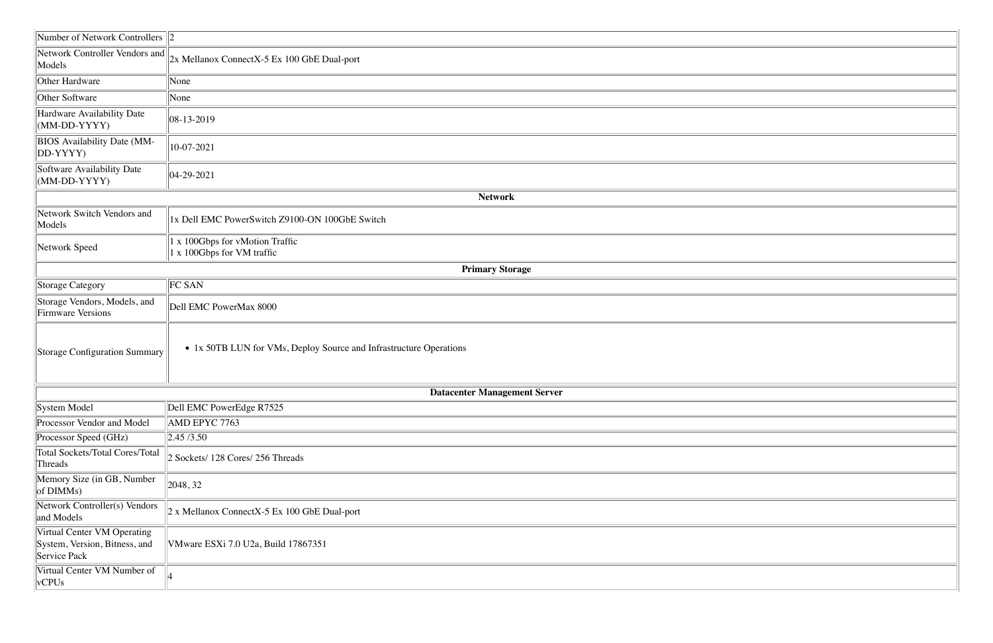| Number of Network Controllers $\ 2\ $                                        |                                                                    |
|------------------------------------------------------------------------------|--------------------------------------------------------------------|
| Network Controller Vendors and<br>Models                                     | 2x Mellanox ConnectX-5 Ex 100 GbE Dual-port                        |
| Other Hardware                                                               | None                                                               |
| Other Software                                                               | None                                                               |
| Hardware Availability Date<br>(MM-DD-YYYY)                                   | $ 08-13-2019 $                                                     |
| <b>BIOS</b> Availability Date (MM-<br>DD-YYYY)                               | 10-07-2021                                                         |
| Software Availability Date<br>(MM-DD-YYYY)                                   | $ 04-29-2021$                                                      |
|                                                                              | <b>Network</b>                                                     |
| Network Switch Vendors and<br>Models                                         | 1x Dell EMC PowerSwitch Z9100-ON 100GbE Switch                     |
| Network Speed                                                                | 1 x 100Gbps for vMotion Traffic<br>1 x 100Gbps for VM traffic      |
|                                                                              | <b>Primary Storage</b>                                             |
| Storage Category                                                             | FC SAN                                                             |
| Storage Vendors, Models, and<br><b>Firmware Versions</b>                     | Dell EMC PowerMax 8000                                             |
| <b>Storage Configuration Summary</b>                                         | • 1x 50TB LUN for VMs, Deploy Source and Infrastructure Operations |
|                                                                              | <b>Datacenter Management Server</b>                                |
| System Model                                                                 | Dell EMC PowerEdge R7525                                           |
| Processor Vendor and Model                                                   | AMD EPYC 7763                                                      |
| Processor Speed (GHz)                                                        | $\vert$ 2.45 /3.50                                                 |
| Total Sockets/Total Cores/Total<br>Threads                                   | 2 Sockets/ 128 Cores/ 256 Threads                                  |
| Memory Size (in GB, Number<br>of DIMMs)                                      | 2048, 32                                                           |
| Network Controller(s) Vendors<br>and Models                                  | $\vert$ 2 x Mellanox ConnectX-5 Ex 100 GbE Dual-port               |
| Virtual Center VM Operating<br>System, Version, Bitness, and<br>Service Pack | VMware ESXi 7.0 U2a, Build 17867351                                |
| Virtual Center VM Number of<br>vCPUs                                         |                                                                    |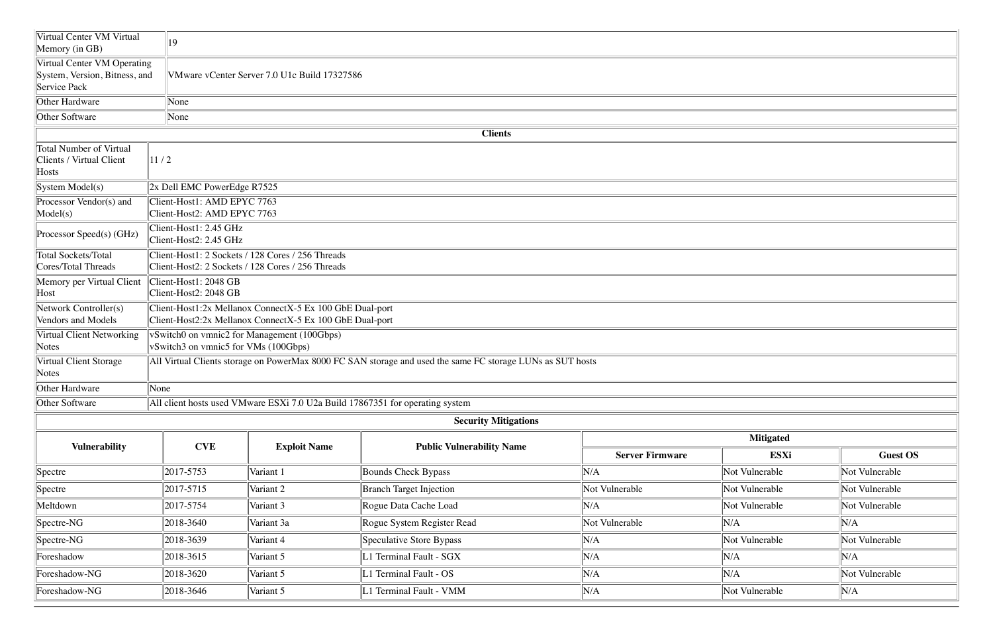| Virtual Center VM Virtual<br>Memory (in GB)                                  | 19                                                                                                                   |
|------------------------------------------------------------------------------|----------------------------------------------------------------------------------------------------------------------|
| Virtual Center VM Operating<br>System, Version, Bitness, and<br>Service Pack | VMware vCenter Server 7.0 U1c Build 17327586                                                                         |
| Other Hardware                                                               | None                                                                                                                 |
| <b>Other Software</b>                                                        | None                                                                                                                 |
|                                                                              | <b>Clients</b>                                                                                                       |
| <b>Total Number of Virtual</b><br><b>Clients / Virtual Client</b><br>Hosts   | 11/2                                                                                                                 |
| System Model(s)                                                              | 2x Dell EMC PowerEdge R7525                                                                                          |
| Processor Vendor(s) and<br>Model(s)                                          | Client-Host1: AMD EPYC 7763<br>Client-Host2: AMD EPYC 7763                                                           |
| Processor Speed(s) (GHz)                                                     | Client-Host1: 2.45 GHz<br>Client-Host2: 2.45 GHz                                                                     |
| <b>Total Sockets/Total</b><br>Cores/Total Threads                            | Client-Host1: 2 Sockets / 128 Cores / 256 Threads<br>Client-Host2: 2 Sockets / 128 Cores / 256 Threads               |
| Memory per Virtual Client<br>Host                                            | Client-Host1: 2048 GB<br>Client-Host2: 2048 GB                                                                       |
| Network Controller(s)<br><b>Vendors and Models</b>                           | Client-Host1:2x Mellanox ConnectX-5 Ex 100 GbE Dual-port<br>Client-Host2:2x Mellanox ConnectX-5 Ex 100 GbE Dual-port |
| Virtual Client Networking<br><b>Notes</b>                                    | vSwitch0 on vmnic2 for Management (100Gbps)<br>vSwitch3 on vmnic5 for VMs (100Gbps)                                  |
| Virtual Client Storage<br><b>Notes</b>                                       | All Virtual Clients storage on PowerMax 8000 FC SAN storage and used the same FC storage LUNs as SUT hosts           |
| Other Hardware                                                               | None                                                                                                                 |
| Other Software                                                               | All client hosts used VMware ESXi 7.0 U2a Build 17867351 for operating system                                        |
|                                                                              | <b>Security Mitigations</b>                                                                                          |

| <b>Vulnerability</b> | <b>CVE</b>        |                     |                                  | <b>Mitigated</b>       |                |                 |  |  |  |  |
|----------------------|-------------------|---------------------|----------------------------------|------------------------|----------------|-----------------|--|--|--|--|
|                      |                   | <b>Exploit Name</b> | <b>Public Vulnerability Name</b> | <b>Server Firmware</b> | <b>ESXi</b>    | <b>Guest OS</b> |  |  |  |  |
| Spectre              | $\ 2017 - 5753\ $ | Variant 1           | Bounds Check Bypass              | N/A                    | Not Vulnerable | Not Vulnerable  |  |  |  |  |
| S <sub>pect</sub>    | $\ 2017 - 5715\ $ | Variant 2           | <b>Branch Target Injection</b>   | Not Vulnerable         | Not Vulnerable | Not Vulnerable  |  |  |  |  |
| Meltdown             | $\ 2017 - 5754\ $ | Variant 3           | Rogue Data Cache Load            | 'N/A                   | Not Vulnerable | Not Vulnerable  |  |  |  |  |
| $ Spectre-NG $       | $\ 2018 - 3640\ $ | Variant 3a          | Rogue System Register Read       | Not Vulnerable         | N/A            | N/A             |  |  |  |  |
| $ Spectre-NG $       | 2018-3639         | Variant 4           | Speculative Store Bypass         | N/A                    | Not Vulnerable | Not Vulnerable  |  |  |  |  |
| Foreshadow           | 2018-3615         | Variant 5           | 1 Terminal Fault - SGX           | 'N/A                   | N/A            | $\ N/A\ $       |  |  |  |  |
| Foreshadow-NG        | $\ 2018 - 3620\ $ | Variant 5           | 1 Terminal Fault - OS            | N/A                    | N/A            | Not Vulnerable  |  |  |  |  |
| Foreshadow-NG        | $\ 2018 - 3646\ $ | Variant 5           | 1 Terminal Fault - VMM           | N/A                    | Not Vulnerable | $\ N/A\ $       |  |  |  |  |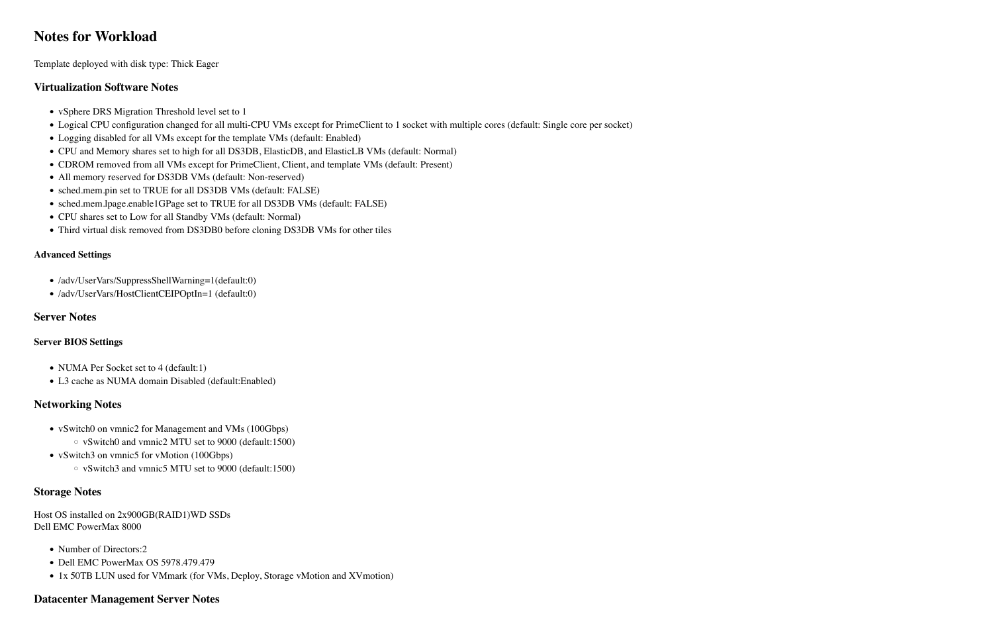### **Notes for Workload**

Template deployed with disk type: Thick Eager

#### **Virtualization Software Notes**

- vSphere DRS Migration Threshold level set to 1
- !"Logical CPU configuration changed for all multi-CPU VMs except for PrimeClient to 1 socket with multiple cores (default: Single core per socket)
- Logging disabled for all VMs except for the template VMs (default: Enabled)
- !"CPU and Memory shares set to high for all DS3DB, ElasticDB, and ElasticLB VMs (default: Normal)
- CDROM removed from all VMs except for PrimeClient, Client, and template VMs (default: Present)
- All memory reserved for DS3DB VMs (default: Non-reserved)
- sched.mem.pin set to TRUE for all DS3DB VMs (default: FALSE)
- !"sched.mem.lpage.enable1GPage set to TRUE for all DS3DB VMs (default: FALSE)
- CPU shares set to Low for all Standby VMs (default: Normal)
- Third virtual disk removed from DS3DB0 before cloning DS3DB VMs for other tiles

#### **Advanced Settings**

- /adv/UserVars/SuppressShellWarning=1(default:0)
- /adv/UserVars/HostClientCEIPOptIn=1 (default:0)

#### **Server Notes**

#### **Server BIOS Settings**

- NUMA Per Socket set to 4 (default:1)
- L3 cache as NUMA domain Disabled (default:Enabled)

#### **Networking Notes**

- vSwitch0 on vmnic2 for Management and VMs (100Gbps)
	- $\circ$  vSwitch0 and vmnic2 MTU set to 9000 (default:1500)
- vSwitch3 on vmnic5 for vMotion (100Gbps)
	- $\circ$  vSwitch3 and vmnic5 MTU set to 9000 (default:1500)

#### **Storage Notes**

Host OS installed on 2x900GB(RAID1)WD SSDs Dell EMC PowerMax 8000

- Number of Directors:2
- Dell EMC PowerMax OS 5978.479.479
- 1x 50TB LUN used for VMmark (for VMs, Deploy, Storage vMotion and XVmotion)

#### **Datacenter Management Server Notes**